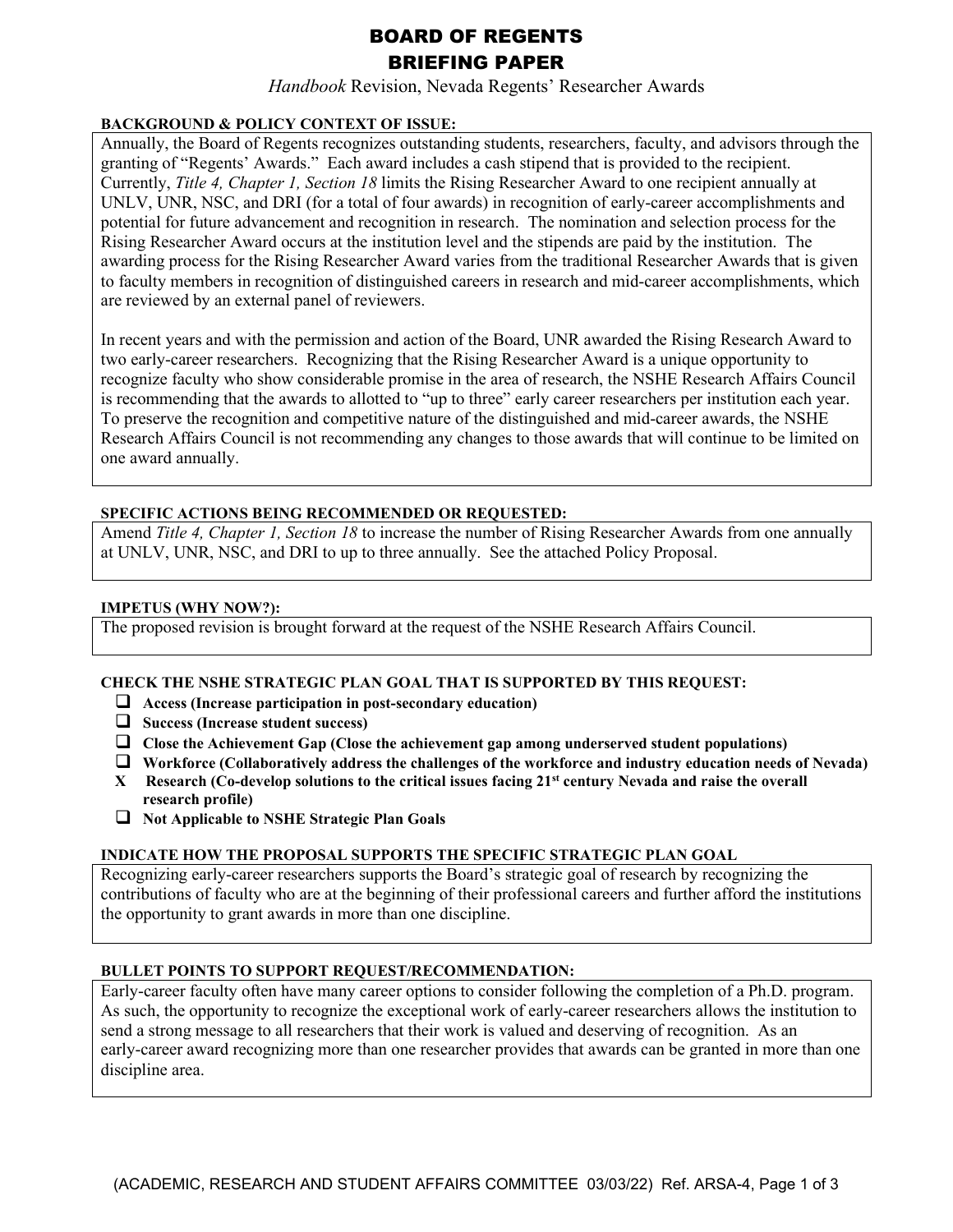# BOARD OF REGENTS BRIEFING PAPER

*Handbook* Revision, Nevada Regents' Researcher Awards

# **BACKGROUND & POLICY CONTEXT OF ISSUE:**

Annually, the Board of Regents recognizes outstanding students, researchers, faculty, and advisors through the granting of "Regents' Awards." Each award includes a cash stipend that is provided to the recipient. Currently, *Title 4, Chapter 1, Section 18* limits the Rising Researcher Award to one recipient annually at UNLV, UNR, NSC, and DRI (for a total of four awards) in recognition of early-career accomplishments and potential for future advancement and recognition in research. The nomination and selection process for the Rising Researcher Award occurs at the institution level and the stipends are paid by the institution. The awarding process for the Rising Researcher Award varies from the traditional Researcher Awards that is given to faculty members in recognition of distinguished careers in research and mid-career accomplishments, which are reviewed by an external panel of reviewers.

In recent years and with the permission and action of the Board, UNR awarded the Rising Research Award to two early-career researchers. Recognizing that the Rising Researcher Award is a unique opportunity to recognize faculty who show considerable promise in the area of research, the NSHE Research Affairs Council is recommending that the awards to allotted to "up to three" early career researchers per institution each year. To preserve the recognition and competitive nature of the distinguished and mid-career awards, the NSHE Research Affairs Council is not recommending any changes to those awards that will continue to be limited on one award annually.

# **SPECIFIC ACTIONS BEING RECOMMENDED OR REQUESTED:**

Amend *Title 4, Chapter 1, Section 18* to increase the number of Rising Researcher Awards from one annually at UNLV, UNR, NSC, and DRI to up to three annually. See the attached Policy Proposal.

## **IMPETUS (WHY NOW?):**

The proposed revision is brought forward at the request of the NSHE Research Affairs Council.

# **CHECK THE NSHE STRATEGIC PLAN GOAL THAT IS SUPPORTED BY THIS REQUEST:**

- **Access (Increase participation in post-secondary education)**
- **Success (Increase student success)**
- **Close the Achievement Gap (Close the achievement gap among underserved student populations)**
- **Workforce (Collaboratively address the challenges of the workforce and industry education needs of Nevada)**
- **X Research (Co-develop solutions to the critical issues facing 21st century Nevada and raise the overall research profile)**
- **Not Applicable to NSHE Strategic Plan Goals**

# **INDICATE HOW THE PROPOSAL SUPPORTS THE SPECIFIC STRATEGIC PLAN GOAL**

Recognizing early-career researchers supports the Board's strategic goal of research by recognizing the contributions of faculty who are at the beginning of their professional careers and further afford the institutions the opportunity to grant awards in more than one discipline.

# **BULLET POINTS TO SUPPORT REQUEST/RECOMMENDATION:**

Early-career faculty often have many career options to consider following the completion of a Ph.D. program. As such, the opportunity to recognize the exceptional work of early-career researchers allows the institution to send a strong message to all researchers that their work is valued and deserving of recognition. As an early-career award recognizing more than one researcher provides that awards can be granted in more than one discipline area.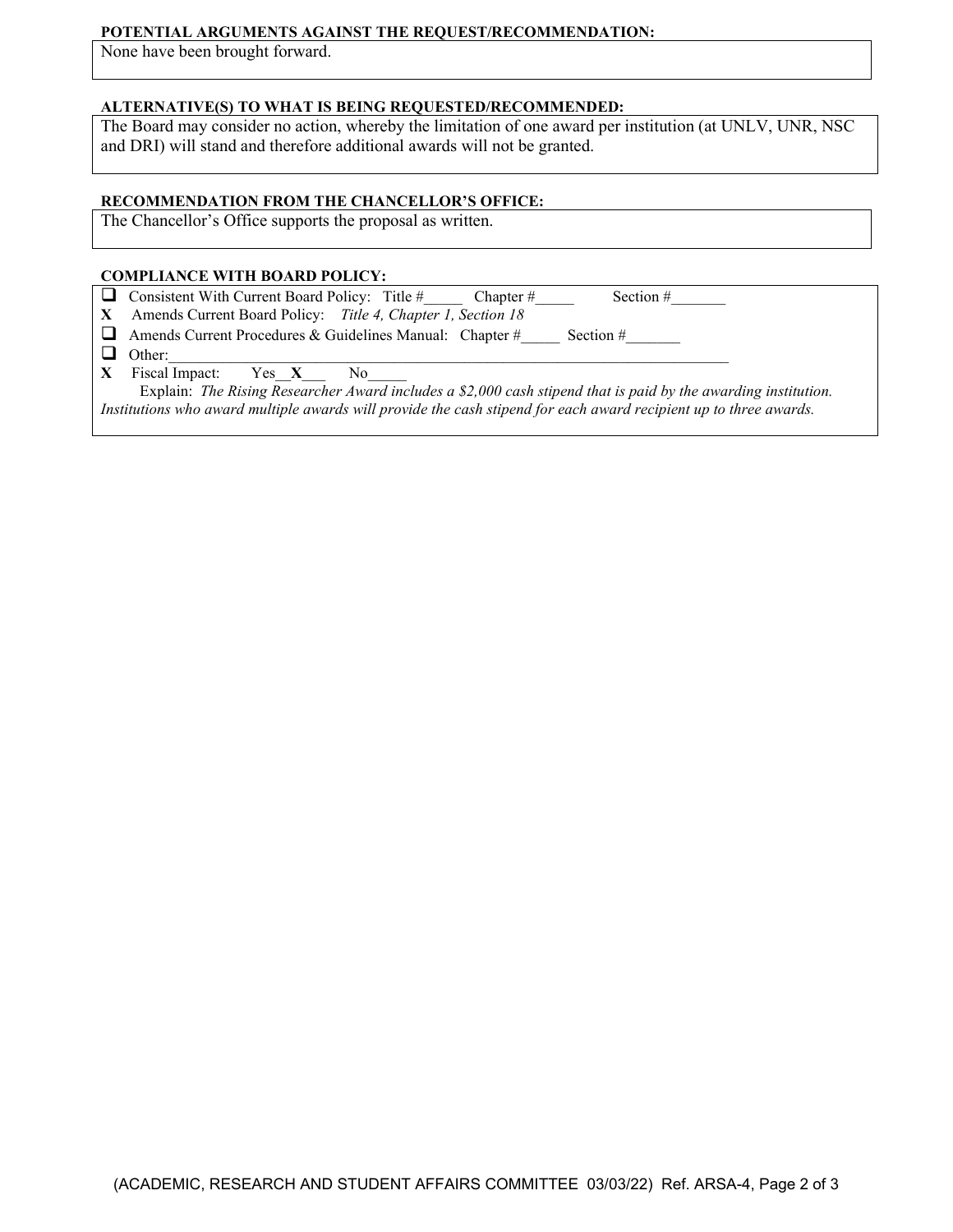#### **POTENTIAL ARGUMENTS AGAINST THE REQUEST/RECOMMENDATION:**

None have been brought forward.

## **ALTERNATIVE(S) TO WHAT IS BEING REQUESTED/RECOMMENDED:**

The Board may consider no action, whereby the limitation of one award per institution (at UNLV, UNR, NSC and DRI) will stand and therefore additional awards will not be granted.

## **RECOMMENDATION FROM THE CHANCELLOR'S OFFICE:**

The Chancellor's Office supports the proposal as written.

#### **COMPLIANCE WITH BOARD POLICY:**

**O** Consistent With Current Board Policy: Title  $\#$  Chapter  $\#$  Section  $\#$ 

**X** Amends Current Board Policy: *Title 4, Chapter 1, Section 18*

Amends Current Procedures & Guidelines Manual: Chapter # Section #

 $\Box$  Other:

**X** Fiscal Impact: Yes\_\_**X**\_\_\_ No\_\_\_\_\_

 Explain: *The Rising Researcher Award includes a \$2,000 cash stipend that is paid by the awarding institution. Institutions who award multiple awards will provide the cash stipend for each award recipient up to three awards.*